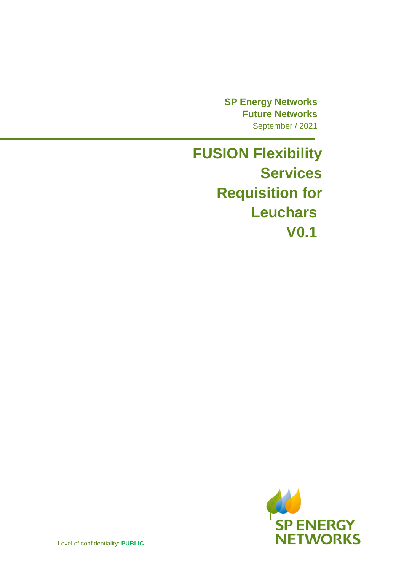**SP Energy Networks Future Networks**  September / 2021

**FUSION Flexibility Services Requisition for Leuchars V0.1** 

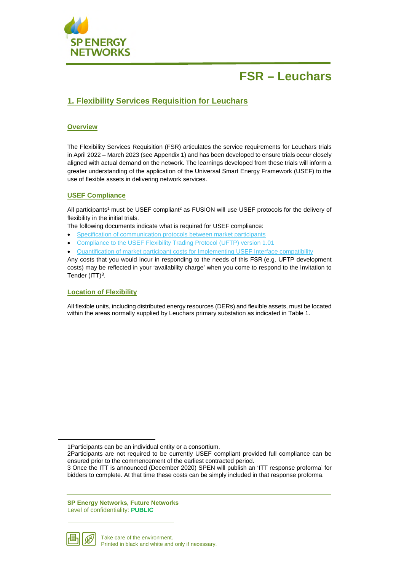

## **1. Flexibility Services Requisition for Leuchars**

### **Overview**

The Flexibility Services Requisition (FSR) articulates the service requirements for Leuchars trials in April 2022 – March 2023 (see Appendix 1) and has been developed to ensure trials occur closely aligned with actual demand on the network. The learnings developed from these trials will inform a greater understanding of the application of the Universal Smart Energy Framework (USEF) to the use of flexible assets in delivering network services.

#### **USEF Compliance**

All participants<sup>1</sup> must be USEF compliant<sup>2</sup> as FUSION will use USEF protocols for the delivery of flexibility in the initial trials.

The following documents indicate what is required for USEF compliance:

- Specification of communication protocols between market participants
- Compliance to the USEF Flexibility Trading Protocol (UFTP) version 1.01
- Quantification of market participant costs for Implementing USEF Interface compatibility

Any costs that you would incur in responding to the needs of this FSR (e.g. UFTP development costs) may be reflected in your 'availability charge' when you come to respond to the Invitation to Tender  $(ITT)<sup>3</sup>$ .

#### **Location of Flexibility**

All flexible units, including distributed energy resources (DERs) and flexible assets, must be located within the areas normally supplied by Leuchars primary substation as indicated in Table 1.

**SP Energy Networks, Future Networks**  Level of confidentiality: **PUBLIC**



<sup>1</sup>Participants can be an individual entity or a consortium.

<sup>2</sup>Participants are not required to be currently USEF compliant provided full compliance can be ensured prior to the commencement of the earliest contracted period.

<sup>3</sup> Once the ITT is announced (December 2020) SPEN will publish an 'ITT response proforma' for bidders to complete. At that time these costs can be simply included in that response proforma.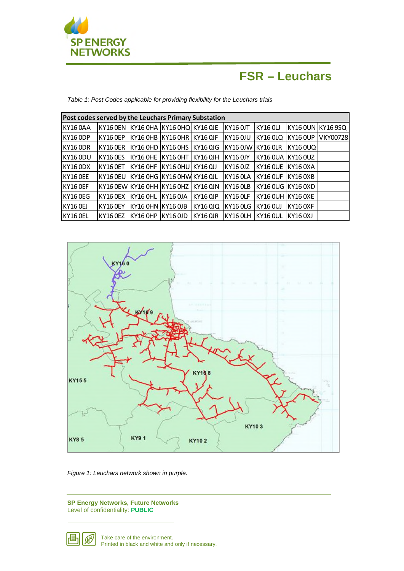

*Table 1: Post Codes applicable for providing flexibility for the Leuchars trials* 

| Post codes served by the Leuchars Primary Substation |                                        |                                |                                           |          |                                                                |  |                   |                 |  |
|------------------------------------------------------|----------------------------------------|--------------------------------|-------------------------------------------|----------|----------------------------------------------------------------|--|-------------------|-----------------|--|
| KY160AA                                              | KY16 OEN KY16 OHA KY16 OHQ KY16 OJE    |                                |                                           |          | KY16 0JT KY16 0LJ                                              |  | KY16 0UN KY16 9SQ |                 |  |
| KY160DP                                              | KY16 OEP  KY16 OHB  KY16 OHR  KY16 OJF |                                |                                           |          | KY16 OJU KY16 OLQ KY16 OUP                                     |  |                   | <b>VKY00728</b> |  |
| KY160DR                                              | KY16 OER  KY16 OHD  KY16 OHS  KY16 OJG |                                |                                           |          | IKY16 OJW IKY16 OLR IKY16 OUQ I                                |  |                   |                 |  |
| KY160DU                                              |                                        |                                | KY16 OES KY16 OHE KY16 OHT KY16 OJH       |          | KY16 0JY KY16 0UA KY16 0UZ                                     |  |                   |                 |  |
| <b>KY16 ODX</b>                                      | KY16 OET  KY16 OHF  KY16 OHU  KY16 OJJ |                                |                                           |          | KY16 OJZ  KY16 OUE  KY16 OXA                                   |  |                   |                 |  |
| KY16 OEE                                             | KY16 OEU  KY16 OHG  KY16 OHW KY16 OJL  |                                |                                           |          | KY16 OLA KY16 OUF KY16 OXB                                     |  |                   |                 |  |
| KY16 OEF                                             |                                        |                                | KY16 OEW KY16 OHH KY16 OHZ KY16 OJN       |          | KY16 OLB KY16 OUG KY16 OXD                                     |  |                   |                 |  |
| KY16 OEG                                             |                                        |                                | KY16 OEX   KY16 OHL   KY16 OJA   KY16 OJP |          | $ $ KY16 OLF $ $ KY16 OUH $ $ KY16 OXE                         |  |                   |                 |  |
| <b>KY16 OEJ</b>                                      |                                        |                                |                                           |          | KY16 OEY KY16 OHN KY16 OJB KY16 OJQ KY16 OLG KY16 OUJ KY16 OXF |  |                   |                 |  |
| KY16 OEL                                             |                                        | KY16 OEZ   KY16 OHP   KY16 OJD |                                           | KY16 OJR | KY16 OLH KY16 OUL KY16 OXJ                                     |  |                   |                 |  |



*Figure 1: Leuchars network shown in purple.* 

**SP Energy Networks, Future Networks**  Level of confidentiality: **PUBLIC**

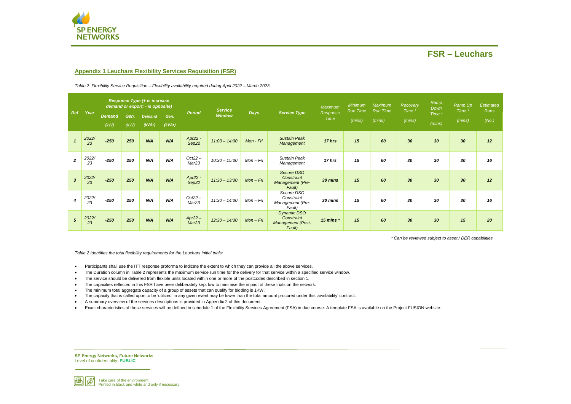**SP Energy Networks, Future Networks**  Level of confidentiality: **PUBLIC**



Take care of the environment. Printed in black and white and only if necessary.



### **Appendix 1 Leuchars Flexibility Services Requisition (FSR)**

*Table 2: Flexibility Service Requisition – Flexibility availability required during April 2022 – March 2023* 

*\* Can be reviewed subject to asset / DER capabilities* 

*Table 2 Identifies the total flexibility requirements for the Leuchars initial trials;* 

- Participants shall use the ITT response proforma to indicate the extent to which they can provide all the above services.
- The Duration column in Table 2 represents the maximum service run time for the delivery for that service within a specified service window.
- The service should be delivered from flexible units located within one or more of the postcodes described in section 1.
- The capacities reflected in this FSR have been deliberately kept low to minimise the impact of these trials on the network.
- The minimum total aggregate capacity of a group of assets that can qualify for bidding is 1KW.
- The capacity that is called upon to be 'utilized' in any given event may be lower than the total amount procured under this 'availability' contract.
- A summary overview of the services descriptions is provided in Appendix 2 of this document.
- Exact characteristics of these services will be defined in schedule 1 of the Flexibility Services Agreement (FSA) in due course. A template FSA is available on the Project FUSION website.

| Ramp<br>Down<br>Time *<br>(mins) | Time *<br>(mins) | Ramp Up Estimated<br><b>Runs</b><br>(No.) |
|----------------------------------|------------------|-------------------------------------------|
| 30                               | 30               | 12                                        |
| 30                               | 30               | 16                                        |
| 30                               | 30               | 12                                        |
| 30                               | 30               | 16                                        |
| 30                               | 15               | 20                                        |

| <b>Ref</b><br>Year |             | <b>Response Type (+ is increase</b><br>demand or export; - is opposite) |              |                         |                |                                | <b>Service</b>  |                                    |                                                                 | Maximum     | <b>Minimum</b><br>Run Time | Maximum<br><b>Run Time</b> | Recovery<br>Time * | Ramp<br>Down | Ramp Up<br>Time * | Estima<br>Run |
|--------------------|-------------|-------------------------------------------------------------------------|--------------|-------------------------|----------------|--------------------------------|-----------------|------------------------------------|-----------------------------------------------------------------|-------------|----------------------------|----------------------------|--------------------|--------------|-------------------|---------------|
|                    |             | <b>Demand</b><br>(kW)                                                   | Gen.<br>(kW) | <b>Demand</b><br>(kVar) | Gen.<br>(kVar) | <b>Period</b>                  | <b>Window</b>   | <b>Days</b><br><b>Service Type</b> | Response<br><b>Time</b>                                         | (mins)      | (mins)                     | (mins)                     | Time *<br>(mins)   | (mins)       | (No.              |               |
|                    | 2022/<br>23 | $-250$                                                                  | 250          | N/A                     | N/A            | Apr22 -<br>Sep22               | $11:00 - 14:00$ | Mon - Fri                          | <b>Sustain Peak</b><br>Management                               | 17 hrs      | 15                         | 60                         | 30                 | 30           | 30                | 12            |
| $\overline{2}$     | 2022/<br>23 | $-250$                                                                  | 250          | N/A                     | N/A            | $Oct22 -$<br>Mar <sub>23</sub> | $10:30 - 15:30$ | $Mon-Fri$                          | Sustain Peak<br>Management                                      | 17 hrs      | 15                         | 60                         | 30                 | 30           | 30                | 16            |
| $\overline{3}$     | 2022/<br>23 | $-250$                                                                  | 250          | N/A                     | N/A            | Apr22 -<br>Sep22               | $11:30 - 13:30$ | $Mon-Fri$                          | Secure DSO<br>Constraint<br>Management (Pre-<br>Fault)          | 30 mins     | 15                         | 60                         | 30                 | 30           | 30                | 12            |
| $\overline{4}$     | 2022/<br>23 | $-250$                                                                  | 250          | N/A                     | N/A            | $Oct22 -$<br>Mar <sub>23</sub> | $11:30 - 14:30$ | Mon - Fri                          | Secure DSO<br>Constraint<br>Management (Pre-<br>Fault)          | 30 mins     | 15                         | 60                         | 30                 | 30           | 30                | 16            |
| $5\phantom{.0}$    | 2022/<br>23 | $-250$                                                                  | 250          | N/A                     | N/A            | $Apr22 -$<br>Mar <sub>23</sub> | $12:30 - 14:30$ | $Mon-Fri$                          | <b>Dynamic DSO</b><br>Constraint<br>Management (Post-<br>Fault) | 15 mins $*$ | 15                         | 60                         | 30                 | 30           | 15                | 20            |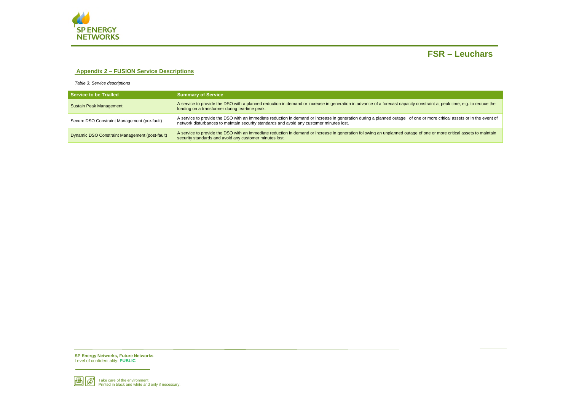**SP Energy Networks, Future Networks**  Level of confidentiality: **PUBLIC**





### **Appendix 2 – FUSION Service Descriptions**

*Table 3: Service descriptions* 

| Service to be Trialled                         | <b>Summary of Service</b>                                                                                                                                                                                                                                          |  |  |  |  |  |  |
|------------------------------------------------|--------------------------------------------------------------------------------------------------------------------------------------------------------------------------------------------------------------------------------------------------------------------|--|--|--|--|--|--|
| Sustain Peak Management                        | A service to provide the DSO with a planned reduction in demand or increase in generation in advance of a forecast capacity constraint at peak time, e.g. to reduce the<br>loading on a transformer during tea-time peak.                                          |  |  |  |  |  |  |
| Secure DSO Constraint Management (pre-fault)   | A service to provide the DSO with an immediate reduction in demand or increase in generation during a planned outage of one or more critical assets or in the event of<br>network disturbances to maintain security standards and avoid any customer minutes lost. |  |  |  |  |  |  |
| Dynamic DSO Constraint Management (post-fault) | A service to provide the DSO with an immediate reduction in demand or increase in generation following an unplanned outage of one or more critical assets to maintain<br>security standards and avoid any customer minutes lost.                                   |  |  |  |  |  |  |